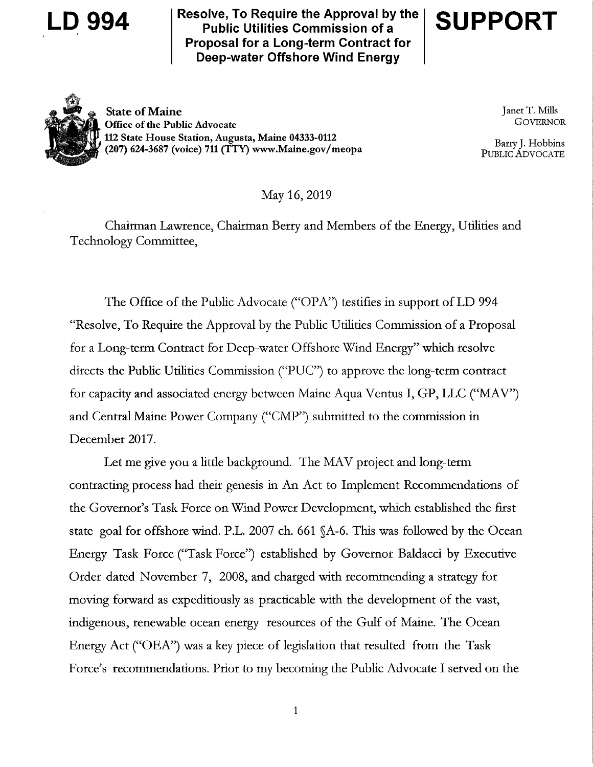

Resolve, To Require the Approval by the  $D$  994  $S$  resolve, to require the Approval by<br>Public Utilities Commission of a Proposal for a Long-term Contract for Deep-water Offshore Wind Energy





State of Maine Janet T. Mills<br> **State of the Public Advocate** Cover Cover Cover Cover Cover Cover Cover Cover Cover Cover Cover Cover Cover Cover Cover Cover Cover Cover Cover Cover Cover Cover Cover Cover Cover Cover Cove Office of the Public Advocate 112 State House Station, Augusta, Maine 04333-0112 (207) 624-3687 (voice) 711 (TTY) www.Maine.gov/meopa

Barry J. Hobbins<br>PUBLIC ADVOCATE

May 16, 2019

Chairman Lawrence, Chairman Berry and Members of the Energy, Utilities and Technology Committee,

The Office of the Public Advocate ("OPA") testifies in support of LD 994 Resolve, To Require the Approval by the Public Utilities Commission of a Proposal for a Long-term Contract for Deep-water Offshore Wind Energy" which resolve directs the Public Utilities Commission ("PUC") to approve the long-term contract for capacity and associated energy between Maine Aqua Ventus I, GP, LLC ("MAV") and Central Maine Power Company ("CMP") submitted to the commission in December 2017.

Let me give you a little background. The MAV project and long-term contracting process had their genesis in An Act to Implement Recommendations of the Governor's Task Force on Wind Power Development, which established the first state goal for offshore wind. P.L. 2007 ch. 661 §A-6. This was followed by the Ocean Energy Task Force ("Task Force") established by Governor Baldacci by Executive Order dated November 7, 2008, and charged with recommending a strategy for moving forward as expeditiously as practicable with the development of the vast, indigenous, renewable ocean energy resources of the Gulf of Maine. The Ocean Energy Act ("OEA") was a key piece of legislation that resulted from the Task Force's recommendations. Prior to my becoming the Public Advocate I served on the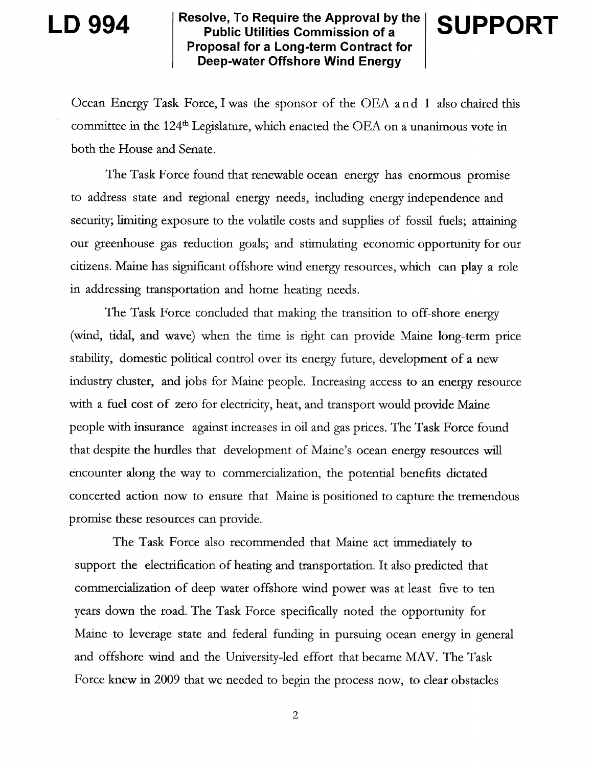$\mathsf{LD} \; 994 \qquad \begin{array}{l} \mid$  Resolve, To Require the Approval by the public Utilities Commission of a Proposal for a Long-term Contract for Deep-water Offshore Wind Energy

# **SUPPORT**

Ocean Energy Task Force, I was the sponsor of the OEA and I also chaired this committee in the 124\* Legislature, which enacted the OEA on a unanimous vote in both the House and Senate.

The Task Force found that renewable ocean energy has enormous promise to address state and regional energy needs, including energy independence and security; limiting exposure to the volatile costs and supplies of fossil fuels; attaining our greenhouse gas reduction goals; and stimulating economic opportunity for our citizens. Maine has significant offshore wind energy resources, which can play a role in addressing transportation and home heating needs.

The Task Force concluded that making the transition to off-shore energy (wind, tidal, and wave) when the time is right can provide Maine long-term price stability, domestic political control over its energy future, development of a new industry cluster, and jobs for Maine people. Increasing access to an energy resource with a fuel cost of zero for electricity, heat, and transport would provide Maine people with insurance against increases in oil and gas prices. The Task Force found that despite the hurdles that development of Maine's ocean energy resources will encounter along the way to commercialization, the potential benefits dictated concerted action now to ensure that Maine is positioned to capture the tremendous promise these resources can provide.

The Task Force also recommended that Maine act immediately to support the electrification of heating and transportation. It also predicted that commercialization of deep water offshore wind power was at least five to ten years down the road. The Task Force specifically noted the opportunity for Maine to leverage state and federal funding in pursuing ocean energy in general and offshore wind and the University-led effort that became MAV. The Task Force knew in 2009 that we needed to begin the process now, to clear obstacles

2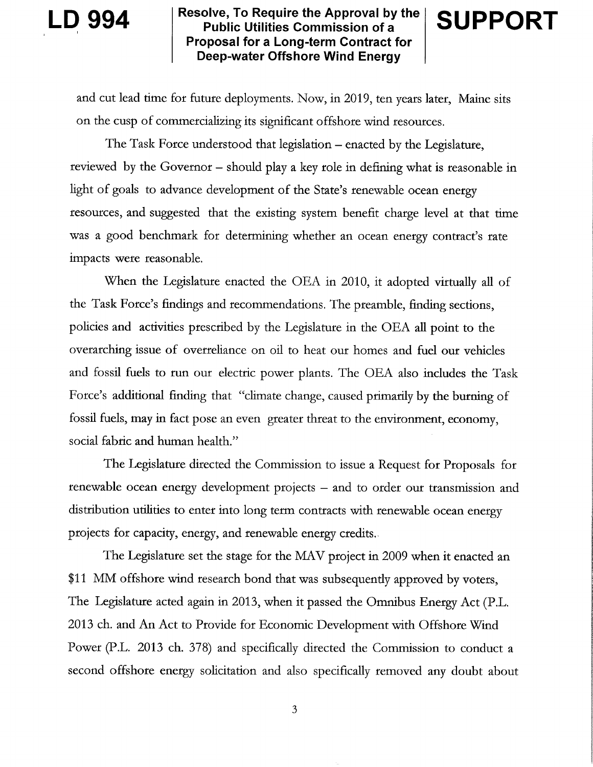# Resolve, To Require the Approval by the  $\mathbf{D}$  994  $\mathbf{S}$  |  $\mathbf{S}$  |  $\mathbf{S}$  |  $\mathbf{S}$  |  $\mathbf{S}$  |  $\mathbf{S}$  |  $\mathbf{S}$  |  $\mathbf{S}$  |  $\mathbf{S}$  |  $\mathbf{S}$  |  $\mathbf{S}$  |  $\mathbf{S}$  |  $\mathbf{S}$  |  $\mathbf{S}$  |  $\mathbf{S}$  |  $\mathbf{S}$  |  $\mathbf{S}$  |  $\mathbf{S}$  |  $\mathbf{S}$  | Proposal for a Long-term Contract for Deep-water Offshore Wind Energy

**SUPPORT** 

and cut lead time for future deployments. Now, in 2019, ten years later, Maine sits on the cusp of commercializing its significant offshore wind resources.

The Task Force understood that legislation – enacted by the Legislature, reviewed by the Governor - should play a key role in defining what is reasonable in light of goals to advance development of the State's renewable ocean energy resources, and suggested that the existing system benefit charge level at that time was a good benchmark for determining whether an ocean energy contract's rate impacts were reasonable.

When the Legislature enacted the OEA in 2010, it adopted virtually all of the Task Force's findings and recommendations. The preamble, finding sections, policies and activities prescribed by the Legislature in the OEA all point to the overarching issue of overreliance on oil to heat our homes and fuel our vehicles and fossil fuels to run our electric power plants. The OEA also includes the Task Force's additional finding that "climate change, caused primarily by the burning of fossil fuels, may in fact pose an even greater threat to the environment, economy, social fabric and human health."

The Legislature directed the Commission to issue a Request for Proposals for renewable ocean energy development projects  $-$  and to order our transmission and distribution utilities to enter into long term contracts with renewable ocean energy projects for capacity, energy, and renewable energy credits.

The Legislature set the stage for the MAV project in 2009 when it enacted an \$11 MM offshore wind research bond that was subsequently approved by voters, The Legislature acted again in 2013, when it passed the Omnibus Energy Act (PL. 2013 ch. and An Act to Provide for Economic Development with Offshore Wind Power (P.L. 2013 ch. 378) and specifically directed the Commission to conduct a second offshore energy solicitation and also specifically removed any doubt about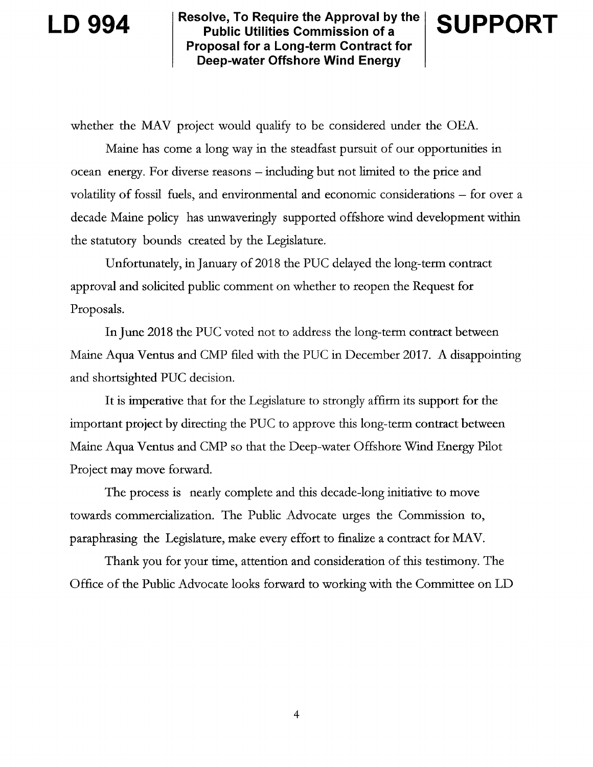# LD 994

Resolve, To Require the Approval by the  $\mid$ ve, To Require the Approval by the  $\mid$  SUPPOR<br>ublic Utilities Commission of a Proposal for a Long-term Contract for Deep-water Offshore Wind Energy

whether the MAV project would qualify to be considered under the OEA.

Maine has come a long way in the steadfast pursuit of our opportunities in ocean energy. For diverse reasons - including but not limited to the price and volatility of fossil fuels, and environmental and economic considerations - for over a decade Maine policy has unwaveringly supported offshore wind development within the statutory bounds created by the Legislature.

Unfortunately, in January of 2018 the PUC delayed the long-term contract approval and solicited public comment on whether to reopen the Request for Proposals.

In June 2018 the PUC voted not to address the long-term contract between Maine Aqua Ventus and CMP filed with the PUC in December 2017. A disappointing and shortsighted PUC decision.

It is imperative that for the Legislature to strongly affirm its support for the important project by directing the PUC to approve this long-term contract between Maine Aqua Ventus and CMP so that the Deep-water Offshore \X/ind Energy Pilot Project may move forward.

The process is nearly complete and this decade-long initiative to move towards commercialization. The Public Advocate urges the Commission to, paraphrasing the Legislature, make every effort to finalize a contract for MAV.

Thank you for your time, attention and consideration of this testimony. The Office of the Public Advocate looks forward to working with the Committee on LD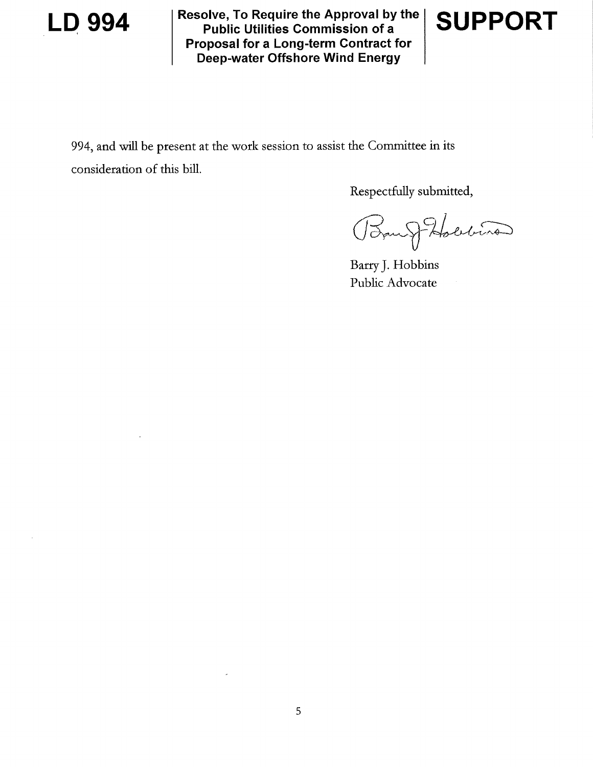

Resolve, To Require the Approval by the LD 994 Resolve, 10 Require the Approval by<br>Public Utilities Commission of a Proposal for a Long-term Contract for Deep-water Offshore Wind Energy



994, and will be present at the work session to assist the Committee in its consideration of this bill.

Respectfully submitted,

Ban J Holling

Barry]. Hobbins Public Advocate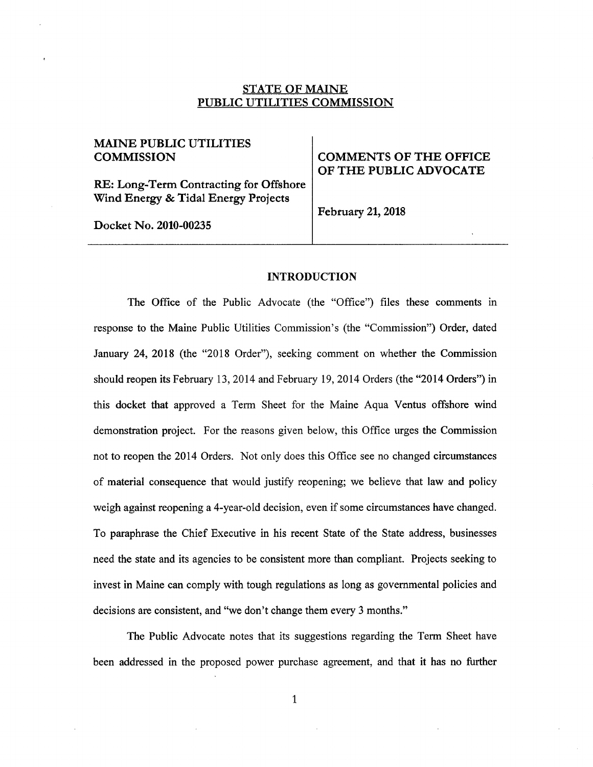## STATE OF MAINE PUBLIC UTILITIES COMMISSION

# MAINE PUBLIC UTILITIES

RE: Long-Term Contracting for Offshore Wind Energy & Tidal Energy Projects

Docket No. 2010-00235

# COMMISSION COMMENTS OF THE OFFICE OF THE PUBLIC ADVOCATE

February 21, 2018

### INTRODUCTION

The Office of the Public Advocate (the "Office") files these comments in response to the Maine Public Utilities Commission's (the "Commission") Order, dated January 24, 2018 (the "2018 Order"), seeking comment on whether the Commission should reopen its February 13, 2014 and February 19, 2014 Orders (the "2014 Orders") in this docket that approved a Term Sheet for the Maine Aqua Ventus offshore Wind demonstration project. For the reasons given below, this Office urges the Commission not to reopen the 2014 Orders. Not only does this Office see no changed circumstances of material consequence that would justify reopening; we believe that law and policy weigh against reopening a 4-year-old decision, even if some circumstances have changed. To paraphrase the Chief Executive in his recent State of the State address, businesses need the state and its agencies to be consistent more than compliant. Projects seeking to invest in Maine can comply with tough regulations as long as governmental policies and decisions are consistent, and "we don't change them every 3 months."

The Public Advocate notes that its suggestions regarding the Term Sheet have been addressed in the proposed power purchase agreement, and that it has no further

1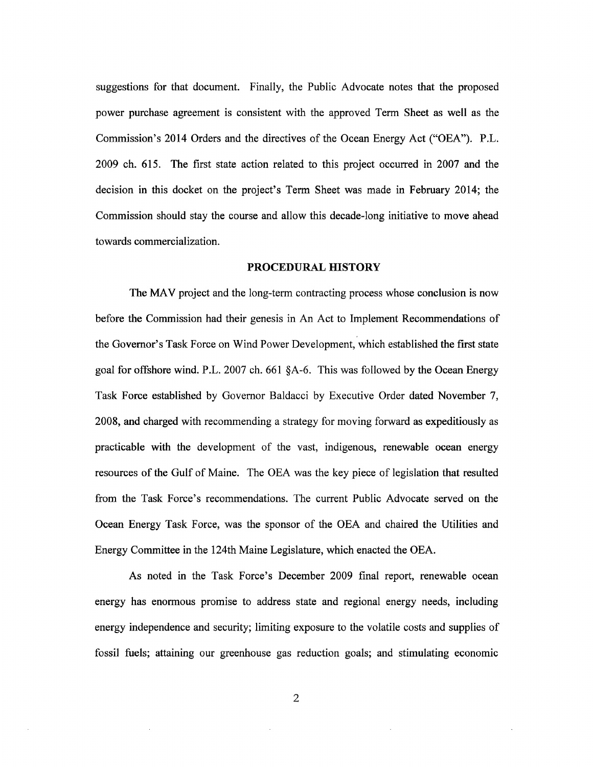suggestions for that document. Finally, the Public Advocate notes that the proposed power purchase agreement is consistent with the approved Term Sheet as well as the Commission's 2014 Orders and the directives of the Ocean Energy Act ("OEA"). P.L. 2009 ch. 615. The first state action related to this project occurred in 2007 and the decision in this docket on the project's Term Sheet was made in February 2014; the Commission should stay the course and allow this decade-long initiative to move ahead towards commercialization.

### PROCEDURAL HISTORY

The MAV project and the long-term contracting process whose conclusion is now before the Commission had their genesis in An Act to Implement Recommendations of the Governor's Task Force on Wind Power Development, which established the first state goal for offshore wind. P.L. 2007 ch. 661 §A-6. This was followed by the Ocean Energy Task Force established by Governor Baldacci by Executive Order dated November 7, 2008, and charged with recommending a strategy for moving forward as expeditiously as practicable with the development of the vast, indigenous, renewable ocean energy resources of the Gulf of Maine. The OEA was the key piece of legislation that resulted from the Task Force's recommendations. The current Public Advocate served on the Ocean Energy Task Force, was the sponsor of the OEA and chaired the Utilities and Energy Committee in the 124th Maine Legislature, which enacted the OEA.

As noted in the Task Force's December 2009 final report, renewable ocean energy has enormous promise to address state and regional energy needs, including energy independence and security; limiting exposure to the volatile costs and supplies of fossil fuels; attaining our greenhouse gas reduction goals; and stimulating economic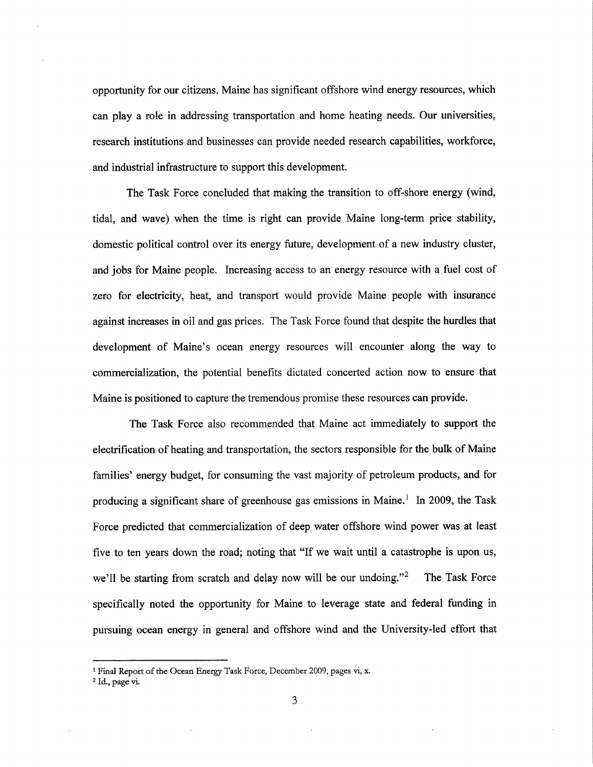opportunity for our citizens. Maine has significant offshore wind energy resources, which can play a role in addressing transportation and home heating needs. Our universities, research institutions and businesses can provide needed research capabilities, workforce, and industrial infrastructure to support this development.

The Task Force concluded that making the transition to off-shore energy (wind, tidal, and wave) when the time is right can provide Maine long-term price stability, domestic political control over its energy future, development of a new industry cluster, and jobs for Maine people. Increasing access to an energy resource with a fuel cost of zero for electricity, heat, and transport would provide Maine people with insurance against increases in oil and gas prices. The Task Force found that despite the hurdles that development of Maine's ocean energy resources will encounter along the way to commercialization, the potential benefits dictated concerted action now to ensure that Maine is positioned to capture the tremendous promise these resources can provide.

The Task Force also recommended that Maine act immediately to support the electrification of heating and transportation, the sectors responsible for the bulk of Maine families' energy budget, for consuming the vast majority of petroleum products, and for producing a significant share of greenhouse gas emissions in Maine.<sup>1</sup> In 2009, the Task Force predicted that commercialization of deep water offshore wind power was at least five to ten years down the road; noting that "If we wait until a catastrophe is upon us, we'll be starting from scratch and delay now will be our undoing."<sup>2</sup> The Task Force specifically noted the opportunity for Maine to leverage state and federal funding in pursuing ocean energy in general and offshore wind and the University-led effort that

<sup>&</sup>lt;sup>1</sup> Final Report of the Ocean Energy Task Force, December 2009, pages vi, x.

 $^2$  ld., page vi.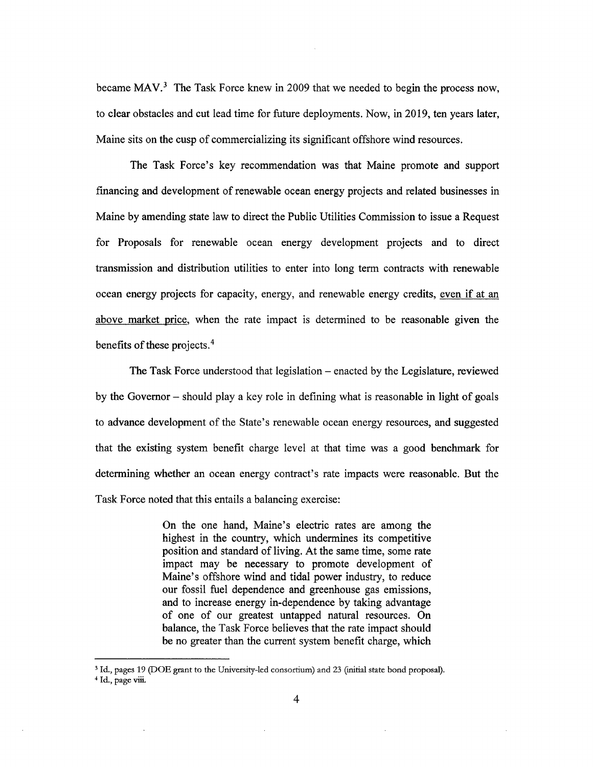became MAV.<sup>3</sup> The Task Force knew in 2009 that we needed to begin the process now, to clear obstacles and cut lead time for future deployments. Now, in 2019, ten years later, Maine sits on the cusp of commercializing its significant offshore wind resources.

The Task Force's key recommendation was that Maine promote and support nancing and development of renewable ocean energy projects and related businesses in Maine by amending state law to direct the Public Utilities Commission to issue a Request for Proposals for renewable ocean energy development projects and to direct transmission and distribution utilities to enter into long term contracts with renewable ocean energy projects for capacity, energy, and renewable energy credits, even if at an above market price, when the rate impact is determined to be reasonable given the benefits of these projects. $4$ 

The Task Force understood that legislation – enacted by the Legislature, reviewed by the Governor  $-$  should play a key role in defining what is reasonable in light of goals to advance development of the State's renewable ocean energy resources, and suggested that the existing system benefit charge level at that time was a good benchmark for determining whether an ocean energy contract's rate impacts were reasonable. But the Task Force noted that this entails a balancing exercise:

> On the one hand, Maine's electric rates are among the highest in the country, which undermines its competitive position and standard of living. At the same time, some rate impact may be necessary to promote development of Maine's offshore wind and tidal power industry, to reduce our fossil fuel dependence and greenhouse gas emissions, and to increase energy in-dependence by taking advantage of one of our greatest untapped natural resources. On balance, the Task Force believes that the rate impact should be no greater than the current system benefit charge, which

 $3$  ld., pages 19 (DOE grant to the University-led consortium) and 23 (initial state bond proposal). 4 Id., page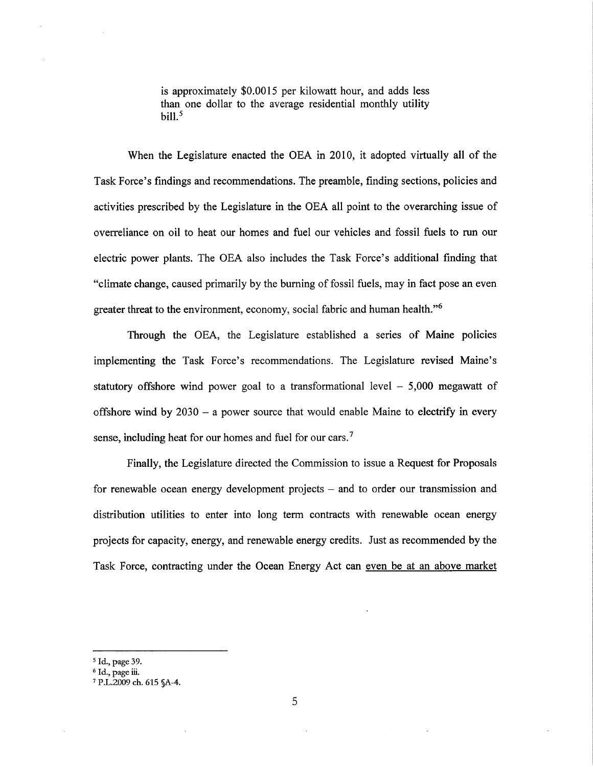is approximately \$0.0015 per kilowatt hour, and adds less than one dollar to the average residential monthly utility bill. $<sup>5</sup>$ </sup>

When the Legislature enacted the OEA in 2010, it adopted virtually all of the Task Force's findings and recommendations. The preamble, finding sections, policies and activities prescribed by the Legislature in the OEA all point to the overarching issue of overreliance on oil to heat our homes and fuel our vehicles and fossil fuels to run our electric power plants. The OEA also includes the Task Force's additional finding that climate change, caused primarily by the burning of fossil fuels, may in fact pose an even greater threat to the environment, economy, social fabric and human health."<sup>6</sup>

Through the OEA, the Legislature established a series of Maine policies implementing the Task Force's recommendations. The Legislature revised Maine's statutory offshore wind power goal to a transformational level  $-5,000$  megawatt of offshore wind by  $2030 - a$  power source that would enable Maine to electrify in every sense, including heat for our homes and fuel for our cars.<sup>7</sup>

Finally, the Legislature directed the Commission to issue a Request for Proposals for renewable ocean energy development projects – and to order our transmission and distribution utilities to enter into long term contracts with renewable ocean energy projects for capacity, energy, and renewable energy credits. Just as recommended by the Task Force, contracting under the Ocean Energy Act can even be at an above market

<sup>&</sup>lt;sup>5</sup> Id., page 39.

<sup>°</sup> Id., page 1

<sup>7</sup>P.L.2009 ch. 615 §A-4.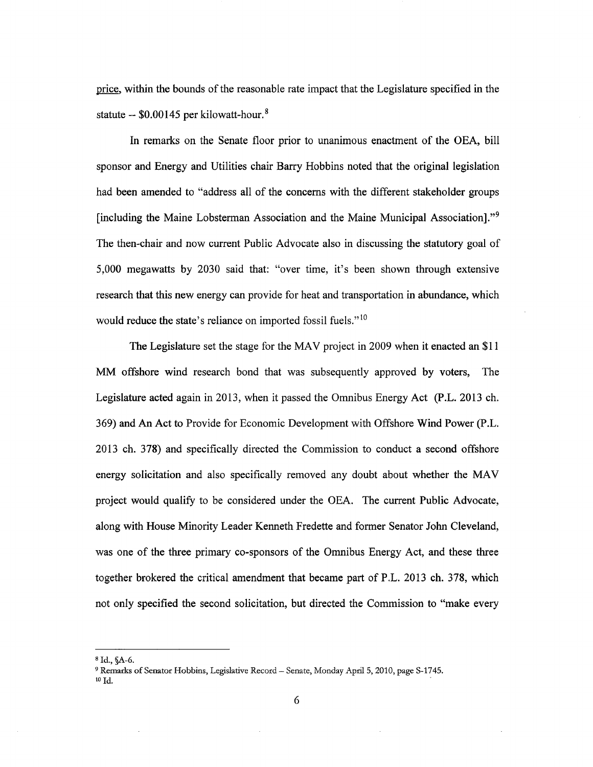price, within the bounds of the reasonable rate impact that the Legislature specified in the statute  $-$  \$0.00145 per kilowatt-hour.<sup>8</sup>

In remarks on the Senate floor prior to unanimous enactment of the OEA, bill sponsor and Energy and Utilities chair Barry Hobbins noted that the original legislation had been amended to "address all of the concerns with the different stakeholder groups [including the Maine Lobsterman Association and the Maine Municipal Association]."<sup>9</sup> The then-chair and now current Public Advocate also in discussing the statutory goal of 5,000 megawatts by 2030 said that: "over time, it's been shown through extensive research that this new energy can provide for heat and transportation in abundance, which would reduce the state's reliance on imported fossil fuels."<sup>10</sup>

The Legislature set the stage for the MAV project in 2009 when it enacted an \$11 MM offshore Wind research bond that was subsequently approved by voters, The Legislature acted again in 2013, when it passed the Omnibus Energy Act (P.L. 2013 ch. 369) and An Act to Provide for Economic Development with Offshore Wind Power (P.L. 2013 ch. 378) and specifically directed the Commission to conduct a second offshore energy solicitation and also specifically removed any doubt about whether the MAV project would qualify to be considered under the OEA. The current Public Advocate, along with House Minority Leader Kenneth Fredette and former Senator John Cleveland, was one of the three primary co-sponsors of the Omnibus Energy Act, and these three together brokered the critical amendment that became part of P.L. 2013 ch. 378, which not only specified the second solicitation, but directed the Commission to "make every

<sup>° 1</sup>d., §A-6.

<sup>&</sup>lt;sup>9</sup> Remarks of Senator Hobbins, Legislative Record - Senate, Monday April 5, 2010, page S-1745.  $10$  Id.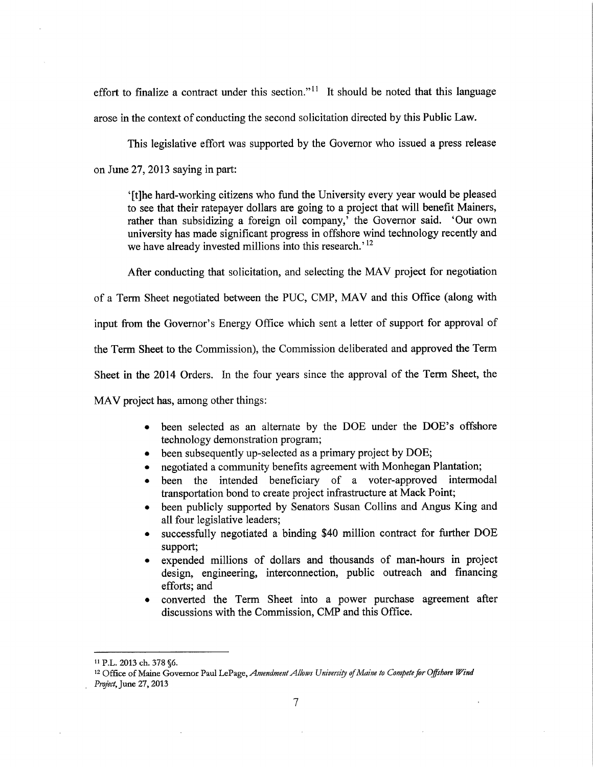effort to finalize a contract under this section."<sup>11</sup> It should be noted that this language arose in the context of conducting the second solicitation directed by this Public Law.

This legislative effort was supported by the Governor who issued a press release on June 27, 2013 saying in part:

[t]he hard-working citizens who fund the University every year would be pleased to see that their ratepayer dollars are going to a project that will benefit Mainers, rather than subsidizing a foreign oil company,<sup>†</sup> the Governor said. 'Our own university has made significant progress in offshore wind technology recently and we have already invested millions into this research.'<sup>12</sup>

After conducting that solicitation, and selecting the MAV project for negotiation

of a Term Sheet negotiated between the PUC, CMP, MAV and this Office (along with

input from the Governor's Energy Office which sent a letter of support for approval of

the Term Sheet to the Commission), the Commission deliberated and approved the Term

Sheet in the 2014 Orders. In the four years since the approval of the Term Sheet, the

MAV project has, among other things:

- been selected as an alternate by the DOE under the DOE's offshore technology demonstration program;
- been subsequently up-selected as a primary project by DOE;
- negotiated a community benefits agreement with Monhegan Plantation;
- been the intended beneficiary of a voter-approved intermodal transportation bond to create project infrastructure at Mack Point;
- been publicly supported by Senators Susan Collins and Angus King and all four legislative leaders;
- successfully negotiated a binding \$40 million contract for further DOE support;
- expended millions of dollars and thousands of man-hours in project design, engineering, interconnection, public outreach and financing efforts; and
- <sup>0</sup>converted the Term Sheet into a power purchase agreement after discussions with the Commission, CMP and this Office.

PL. 2013 ch. 373 §6.

<sup>&</sup>lt;sup>12</sup> Office of Maine Governor Paul LePage, Amendment Allows University of Maine to Compete for Offshore Wind Project, June 27, 2013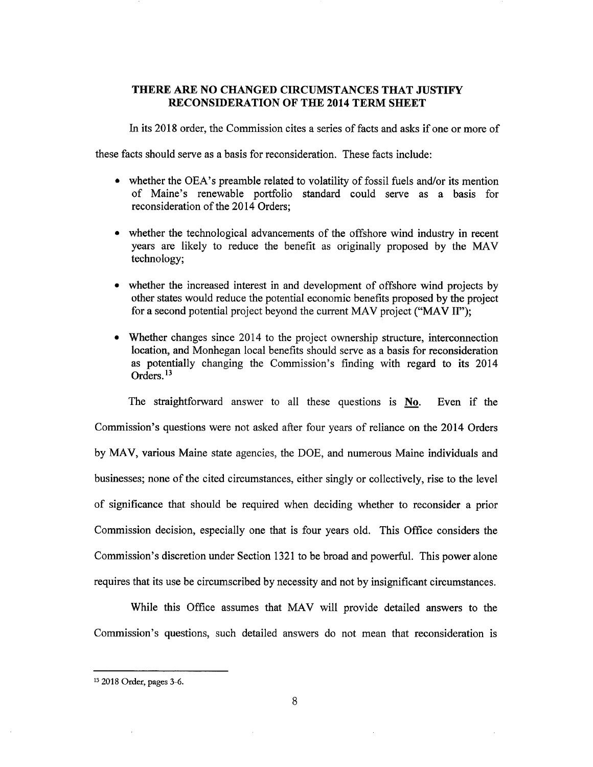### THERE ARE NO CHANGED CIRCUMSTANCES THAT JUSTIFY RECONSIDERATION OF THE 2014 TERM SHEET

In its 2018 order, the Commission cites a series of facts and asks if one or more of

these facts should serve as a basis for reconsideration. These facts include:

- $\bullet$  whether the OEA's preamble related to volatility of fossil fuels and/or its mention of Maine's renewable portfolio standard could serve as a basis for reconsideration of the 2014 Orders;
- whether the technological advancements of the offshore wind industry in recent years are likely to reduce the benefit as originally proposed by the MAV technology;
- whether the increased interest in and development of offshore wind projects by other states would reduce the potential economic benefits proposed by the project for a second potential project beyond the current MAV project ("MAV  $II$ ");
- Whether changes since 2014 to the project ownership structure, interconnection location, and Monhegan local benefits should serve as a basis for reconsideration as potentially changing the Commission's finding with regard to its 2014 Orders.<sup>13</sup>

The straightforward answer to all these questions is No. Even if the Commission's questions were not asked after four years of reliance on the 2014 Orders by MAV, various Maine state agencies, the DOE, and numerous Maine individuals and businesses; none of the cited circumstances, either singly or collectively, rise to the level of signi cance that should be required when deciding whether to reconsider a prior Commission decision, especially one that is four years old. This Office considers the Commission's discretion under Section 1321 to be broad and powerful. This power alone requires that its use be circumscribed by necessity and not by insignificant circumstances.

While this Office assumes that MAV will provide detailed answers to the Commission's questions, such detailed answers do not mean that reconsideration is

<sup>&</sup>lt;sup>13</sup> 2018 Order, pages 3-6.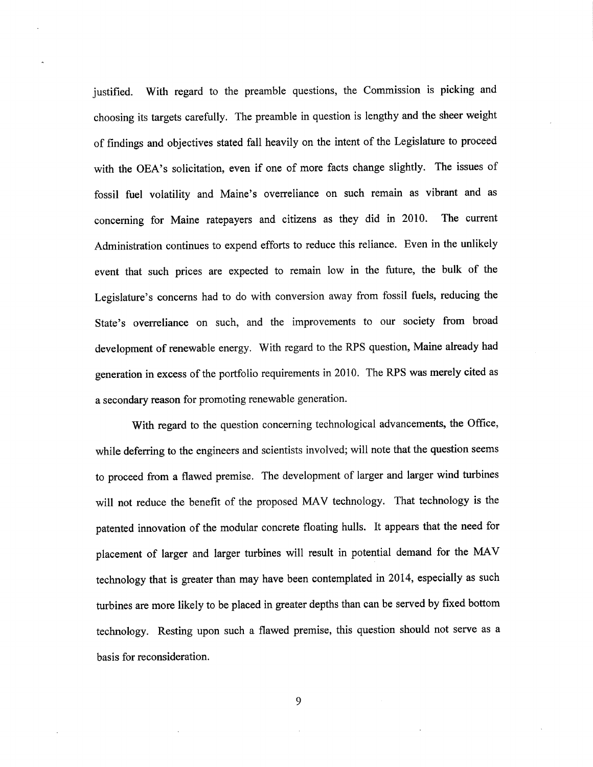justified. With regard to the preamble questions, the Commission is picking and choosing its targets carefully. The preamble in question is lengthy and the sheer weight of findings and objectives stated fall heavily on the intent of the Legislature to proceed with the OEA's solicitation, even if one of more facts change slightly. The issues of fossil fuel volatility and Maine's overreliance on such remain as vibrant and as concerning for Maine ratepayers and citizens as they did in 2010. The current Administration continues to expend efforts to reduce this reliance. Even in the unlikely event that such prices are expected to remain low in the future, the bulk of the Legislature's concerns had to do with conversion away from fossil fuels, reducing the State's overreliance on such, and the improvements to our society from broad development of renewable energy. With regard to the RPS question, Maine already had generation in excess of the portfolio requirements in 2010. The RPS was merely cited as a secondary reason for promoting renewable generation.

With regard to the question concerning technological advancements, the Office, while deferring to the engineers and scientists involved; will note that the question seems to proceed from a flawed premise. The development of larger and larger wind turbines will not reduce the benefit of the proposed MAV technology. That technology is the patented innovation of the modular concrete floating hulls. It appears that the need for placement of larger and larger turbines will result in potential demand for the MAV technology that is greater than may have been contemplated in 2014, especially as such turbines are more likely to be placed in greater depths than can be served by fixed bottom technology. Resting upon such a flawed premise, this question should not serve as a basis for reconsideration.

9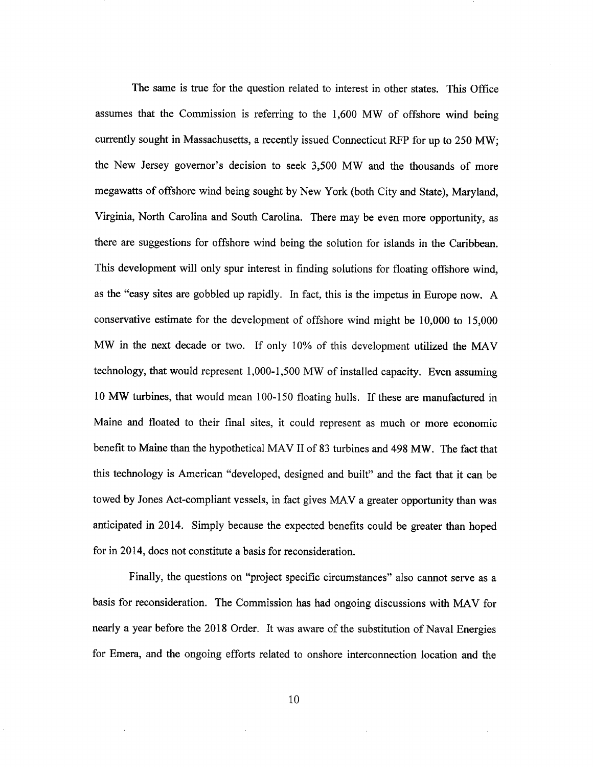The same is true for the question related to interest in other states. This Office assumes that the Commission is referring to the 1,600 MW of offshore wind being currently sought in Massachusetts, a recently issued Connecticut RFP for up to 250 MW; the New Jersey governor's decision to seek 3,500 MW and the thousands of more megawatts of offshore wind being sought by New York (both City and State), Maryland, Virginia, North Carolina and South Carolina. There may be even more opportunity, as there are suggestions for offshore wind being the solution for islands in the Caribbean. This development will only spur interest in finding solutions for floating offshore wind, as the "easy sites are gobbled up rapidly. In fact, this is the impetus in Europe now. A conservative estimate for the development of offshore wind might be 10,000 to 15,000 MW in the next decade or two. If only 10% of this development utilized the MAV technology, that would represent 1,000-1,500 MW of installed capacity. Even assuming 10 MW turbines, that would mean 100-150 floating hulls. If these are manufactured in Maine and floated to their final sites, it could represent as much or more economic benefit to Maine than the hypothetical MAV II of 83 turbines and 498 MW. The fact that this technology is American "developed, designed and built" and the fact that it can be towed by Jones Act-compliant vessels, in fact gives MAV a greater opportunity than was anticipated in 2014. Simply because the expected benefits could be greater than hoped for in 2014, does not constitute a basis for reconsideration.

Finally, the questions on "project specific circumstances" also cannot serve as a basis for reconsideration. The Commission has had ongoing discussions with MAV for nearly a year before the 2018 Order. It was aware of the substitution of Naval Energies for Emera, and the ongoing efforts related to onshore interconnection location and the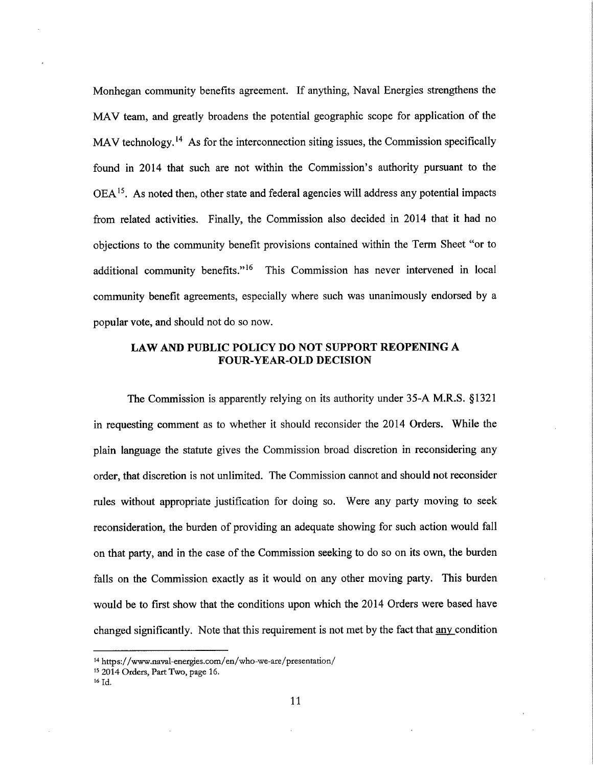Monhegan community benefits agreement. If anything, Naval Energies strengthens the MAV team, and greatly broadens the potential geographic scope for application of the MAV technology.<sup>14</sup> As for the interconnection siting issues, the Commission specifically found in 2014 that such are not within the Commission's authority pursuant to the OEA<sup>15</sup>. As noted then, other state and federal agencies will address any potential impacts from related activities. Finally, the Commission also decided in 2014 that it had no objections to the community benefit provisions contained within the Term Sheet "or to additional community benefits."<sup>16</sup> This Commission has never intervened in local community benefit agreements, especially where such was unanimously endorsed by a popular vote, and should not do so now.

## LAW AND PUBLIC POLICY DO NOT SUPPORT REOPENING A FOUR-YEAR-OLD DECISION

The Commission is apparently relying on its authority under 35-A M.R.S. §l32l in requesting comment as to whether it should reconsider the 2014 Orders. While the plain language the statute gives the Commission broad discretion in reconsidering any order, that discretion is not unlimited. The Commission cannot and should not reconsider rules without appropriate justification for doing so. Were any party moving to seek reconsideration, the burden of providing an adequate showing for such action would fall on that party, and in the case of the Commission seeking to do so on its own, the burden falls on the Commission exactly as it Would on any other moving party. This burden would be to first show that the conditions upon which the 2014 Orders were based have changed significantly. Note that this requirement is not met by the fact that any condition

<sup>&</sup>lt;sup>14</sup> https://www.naval-energies.com/en/who-we-are/presentation/

<sup>&</sup>lt;sup>15</sup> 2014 Orders, Part Two, page 16.

<sup>16</sup>Id.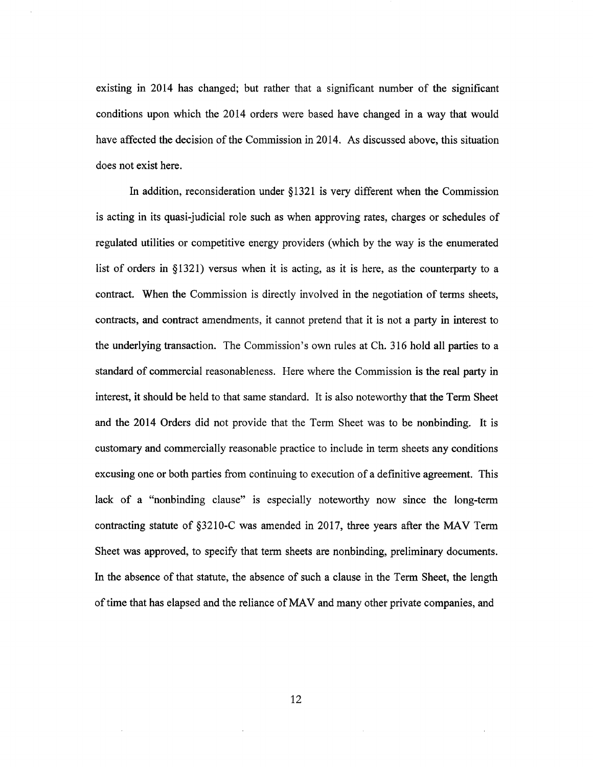existing in 2014 has changed; but rather that a significant number of the significant conditions upon which the 2014 orders were based have changed in a way that would have affected the decision of the Commission in 2014. As discussed above, this situation does not exist here.

In addition, reconsideration under §1321 is very different when the Commission is acting in its quasi-judicial role such as when approving rates, charges or schedules of regulated utilities or competitive energy providers (which by the way is the enumerated list of orders in §l321) versus when it is acting, as it is here, as the counterparty to <sup>a</sup> contract. When the Commission is directly involved in the negotiation of terms sheets, contracts, and contract amendments, it cannot pretend that it is not a party in interest to the underlying transaction. The Commission's own rules at Ch. 316 hold all parties to a standard of commercial reasonableness. Here Where the Commission is the real party in interest, it should be held to that same standard. It is also noteworthy that the Term Sheet and the 2014 Orders did not provide that the Term Sheet was to be nonbinding. It is customary and commercially reasonable practice to include in term sheets any conditions excusing one or both parties from continuing to execution of a definitive agreement. This lack of a "nonbinding clause" is especially noteworthy now since the long-term contracting statute of §3210-C was amended in 2017, three years after the MAV Term Sheet was approved, to specify that term sheets are nonbinding, preliminary documents. In the absence of that statute, the absence of such a clause in the Term Sheet, the length of time that has elapsed and the reliance of MAV and many other private companies, and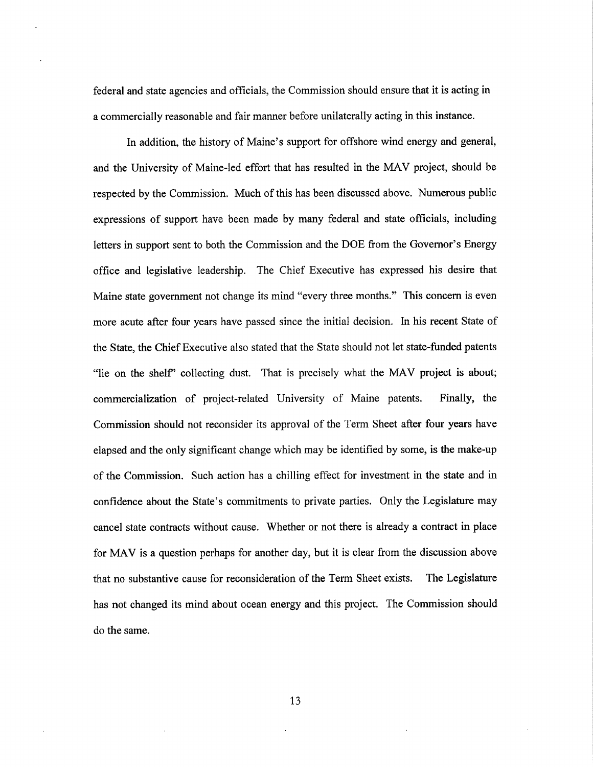federal and state agencies and officials, the Commission should ensure that it is acting in a commercially reasonable and fair manner before unilaterally acting in this instance.

In addition, the history of Maine's support for offshore wind energy and general, and the University of Maine-led effort that has resulted in the MAV project, should be respected by the Commission. Much of this has been discussed above. Numerous public expressions of support have been made by many federal and state officials, including letters in support sent to both the Commission and the DOE from the Governor's Energy office and legislative leadership. The Chief Executive has expressed his desire that Maine state government not change its mind "every three months." This concern is even more acute after four years have passed since the initial decision. In his recent State of the State, the Chief Executive also stated that the State should not let state-funded patents "lie on the shelf" collecting dust. That is precisely what the MAV project is about; commercialization of project-related University of Maine patents. Finally, the Commission should not reconsider its approval of the Term Sheet after four years have elapsed and the only significant change which may be identified by some, is the make-up of the Commission. Such action has a chilling effect for investment in the state and in confidence about the State's commitments to private parties. Only the Legislature may cancel state contracts without cause. Whether or not there is already a contract in place for MAV is a question perhaps for another day, but it is clear from the discussion above that no substantive cause for reconsideration of the Term Sheet exists. The Legislature has not changed its mind about ocean energy and this project. The Commission should do the same.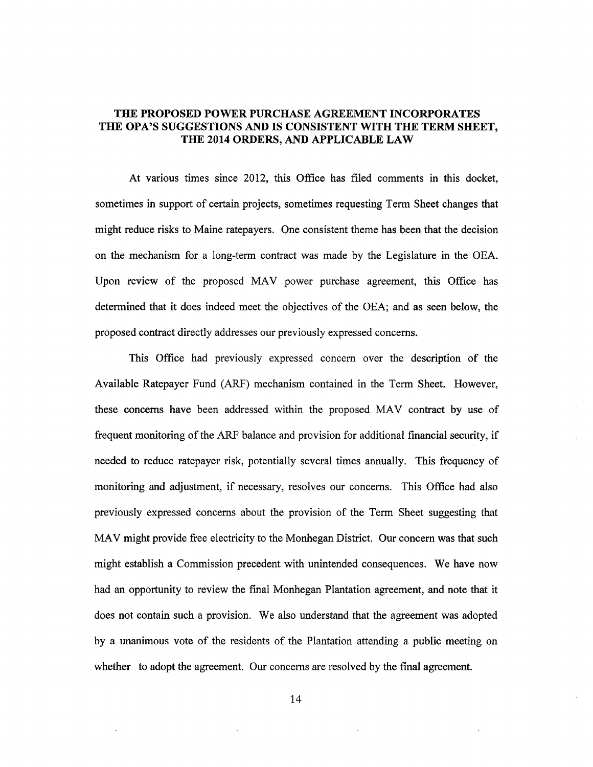## THE PROPOSED POWER PURCHASE AGREEMENT INCORPORATES THE OPA'S SUGGESTIONS AND IS CONSISTENT WITH THE TERM SHEET, THE 2014 ORDERS, AND APPLICABLE LAW

At various times since 2012, this Office has filed comments in this docket, sometimes in support of certain projects, sometimes requesting Term Sheet changes that might reduce risks to Maine ratepayers. One consistent theme has been that the decision on the mechanism for a long-term contract was made by the Legislature in the OEA. Upon review of the proposed MAV power purchase agreement, this Office has determined that it does indeed meet the objectives of the OEA; and as seen below, the proposed contract directly addresses our previously expressed concerns.

This Office had previously expressed concern over the description of the Available Ratepayer Fund (ARF) mechanism contained in the Term Sheet. However, these concems have been addressed within the proposed MAV contract by use of frequent monitoring of the ARF balance and provision for additional financial security, if needed to reduce ratepayer risk, potentially several times annually. This frequency of monitoring and adjustment, if necessary, resolves our concerns. This Office had also previously expressed concerns about the provision of the Tenn Sheet suggesting that MAV might provide free electricity to the Monhegan District. Our concern was that such might establish a Commission precedent with unintended consequences. We have now had an opportunity to review the final Monhegan Plantation agreement, and note that it does not contain such a provision. We also understand that the agreement was adopted by a unanimous vote of the residents of the Plantation attending a public meeting on whether to adopt the agreement. Our concerns are resolved by the final agreement.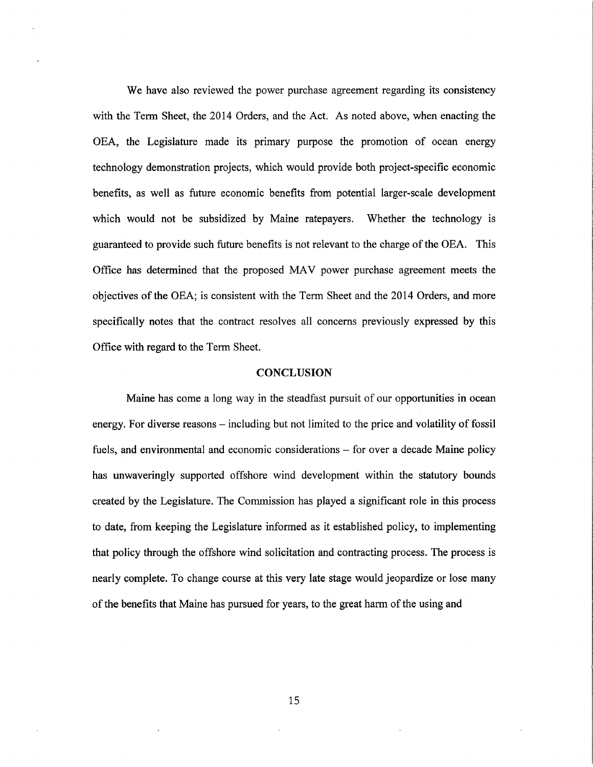We have also reviewed the power purchase agreement regarding its consistency with the Term Sheet, the 2014 Orders, and the Act. As noted above, when enacting the OEA, the Legislature made its primary purpose the promotion of ocean energy technology demonstration projects, which would provide both project-specific economic benefits, as well as future economic benefits from potential larger-scale development which would not be subsidized by Maine ratepayers. Whether the technology is guaranteed to provide such future benefits is not relevant to the charge of the OEA. This Office has determined that the proposed MAV power purchase agreement meets the objectives of the OEA; is consistent with the Term Sheet and the 2014 Orders, and more specifically notes that the contract resolves all concerns previously expressed by this Office with regard to the Term Sheet.

.

### **CONCLUSION**

Maine has come a long way in the steadfast pursuit of our opportunities in ocean energy. For diverse reasons – including but not limited to the price and volatility of fossil fuels, and environmental and economic considerations  $-$  for over a decade Maine policy has unwaveringly supported offshore wind development within the statutory bounds created by the Legislature. The Commission has played a significant role in this process to date, from keeping the Legislature informed as it established policy, to implementing that policy through the offshore wind solicitation and contracting process. The process is nearly complete. To change course at this very late stage would jeopardize or lose many of the benefits that Maine has pursued for years, to the great harm of the using and